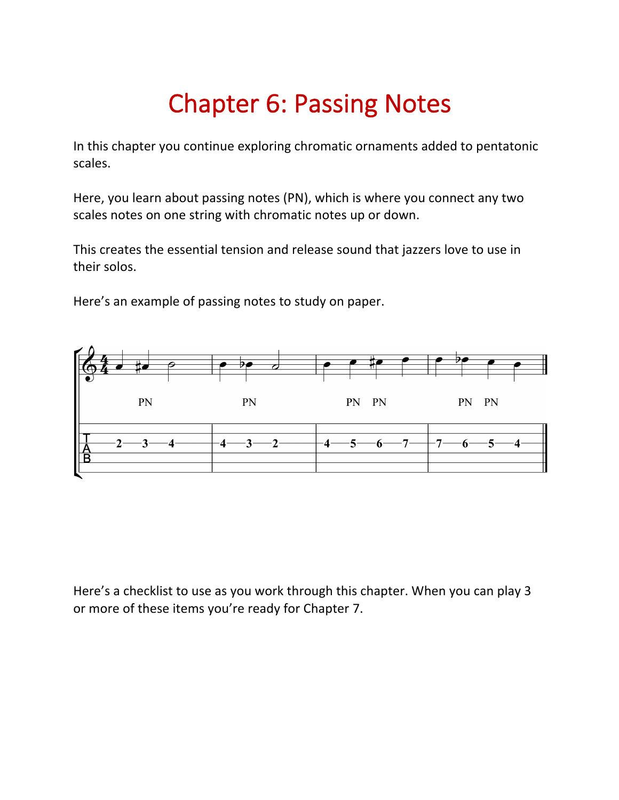# Chapter 6: Passing Notes

In this chapter you continue exploring chromatic ornaments added to pentatonic scales.

Here, you learn about passing notes (PN), which is where you connect any two scales notes on one string with chromatic notes up or down.

This creates the essential tension and release sound that jazzers love to use in their solos.

Here's an example of passing notes to study on paper.



Here's a checklist to use as you work through this chapter. When you can play 3 or more of these items you're ready for Chapter 7.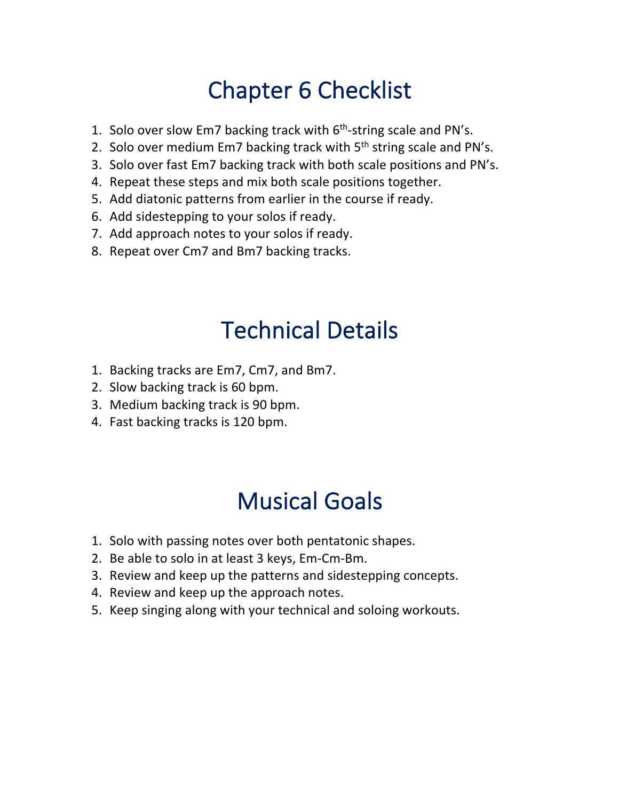# Chapter 6 Checklist

- 1. Solo over slow Em7 backing track with  $6<sup>th</sup>$ -string scale and PN's.
- 2. Solo over medium Em7 backing track with 5<sup>th</sup> string scale and PN's.
- 3. Solo over fast Em7 backing track with both scale positions and PN's.
- 4. Repeat these steps and mix both scale positions together.
- 5. Add diatonic patterns from earlier in the course if ready.
- 6. Add sidestepping to your solos if ready.
- 7. Add approach notes to your solos if ready.
- 8. Repeat over Cm7 and Bm7 backing tracks.

### Technical Details

- 1. Backing tracks are Em7, Cm7, and Bm7.
- 2. Slow backing track is 60 bpm.
- 3. Medium backing track is 90 bpm.
- 4. Fast backing tracks is 120 bpm.

### Musical Goals

- 1. Solo with passing notes over both pentatonic shapes.
- 2. Be able to solo in at least 3 keys, Em-Cm-Bm.
- 3. Review and keep up the patterns and sidestepping concepts.
- 4. Review and keep up the approach notes.
- 5. Keep singing along with your technical and soloing workouts.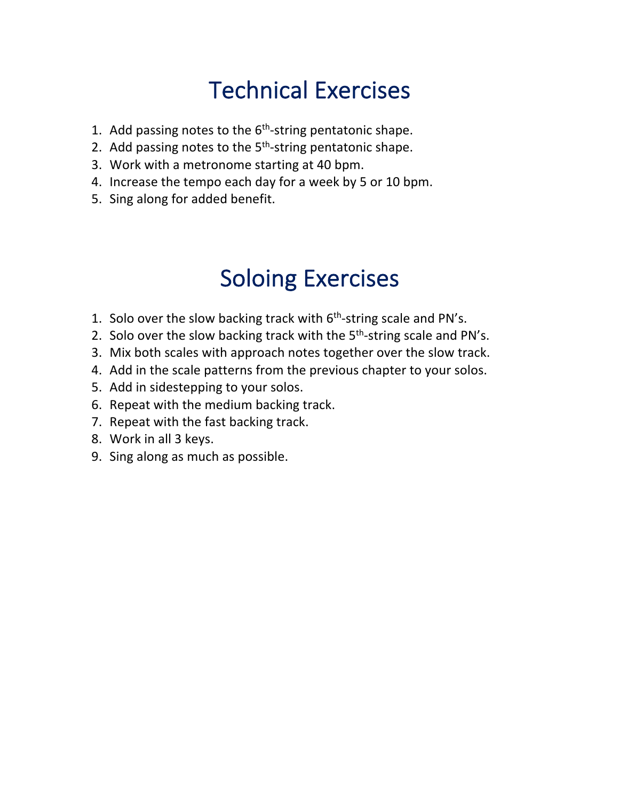# Technical Exercises

- 1. Add passing notes to the  $6<sup>th</sup>$ -string pentatonic shape.
- 2. Add passing notes to the 5<sup>th</sup>-string pentatonic shape.
- 3. Work with a metronome starting at 40 bpm.
- 4. Increase the tempo each day for a week by 5 or 10 bpm.
- 5. Sing along for added benefit.

# Soloing Exercises

- 1. Solo over the slow backing track with  $6<sup>th</sup>$ -string scale and PN's.
- 2. Solo over the slow backing track with the 5<sup>th</sup>-string scale and PN's.
- 3. Mix both scales with approach notes together over the slow track.
- 4. Add in the scale patterns from the previous chapter to your solos.
- 5. Add in sidestepping to your solos.
- 6. Repeat with the medium backing track.
- 7. Repeat with the fast backing track.
- 8. Work in all 3 keys.
- 9. Sing along as much as possible.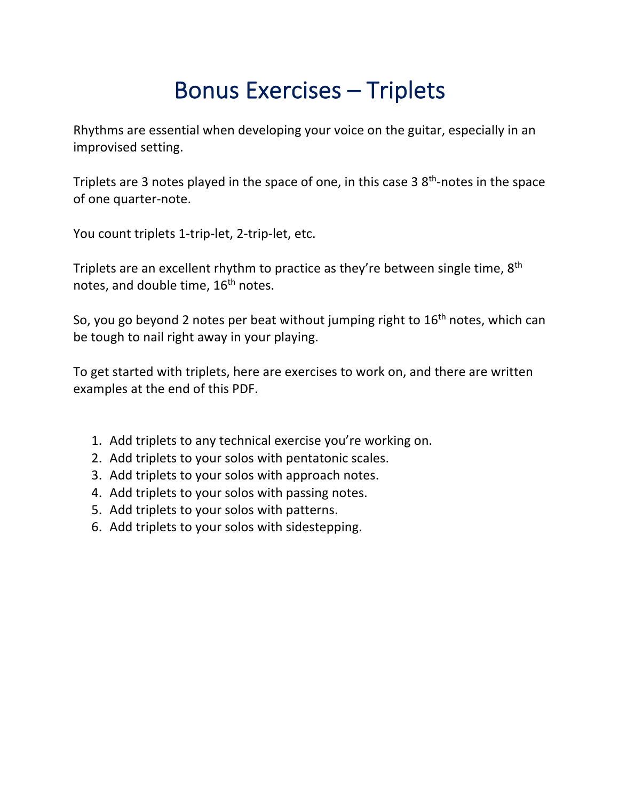## Bonus Exercises – Triplets

Rhythms are essential when developing your voice on the guitar, especially in an improvised setting.

Triplets are 3 notes played in the space of one, in this case  $3.8<sup>th</sup>$ -notes in the space of one quarter-note.

You count triplets 1-trip-let, 2-trip-let, etc.

Triplets are an excellent rhythm to practice as they're between single time, 8<sup>th</sup> notes, and double time, 16<sup>th</sup> notes.

So, you go beyond 2 notes per beat without jumping right to  $16<sup>th</sup>$  notes, which can be tough to nail right away in your playing.

To get started with triplets, here are exercises to work on, and there are written examples at the end of this PDF.

- 1. Add triplets to any technical exercise you're working on.
- 2. Add triplets to your solos with pentatonic scales.
- 3. Add triplets to your solos with approach notes.
- 4. Add triplets to your solos with passing notes.
- 5. Add triplets to your solos with patterns.
- 6. Add triplets to your solos with sidestepping.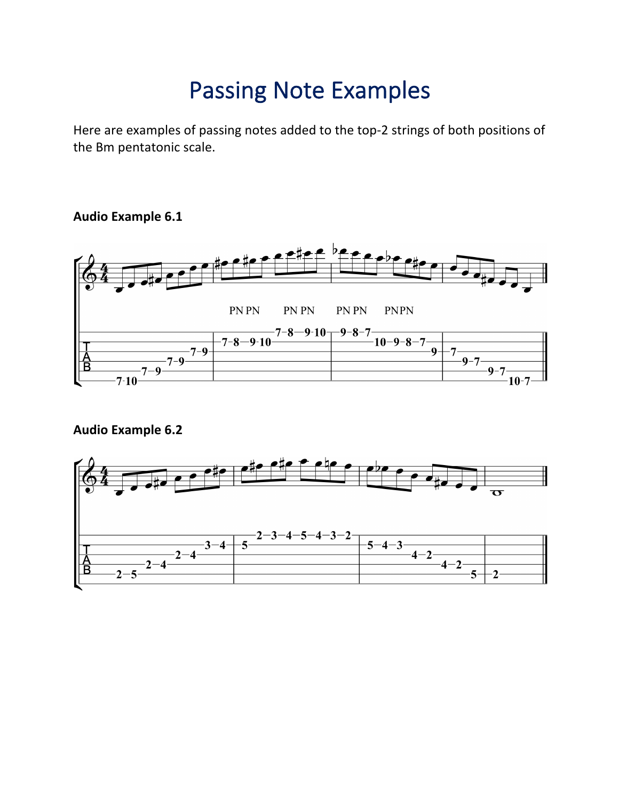### Passing Note Examples

Here are examples of passing notes added to the top-2 strings of both positions of the Bm pentatonic scale.

#### **Audio Example 6.1**



#### **Audio Example 6.2**